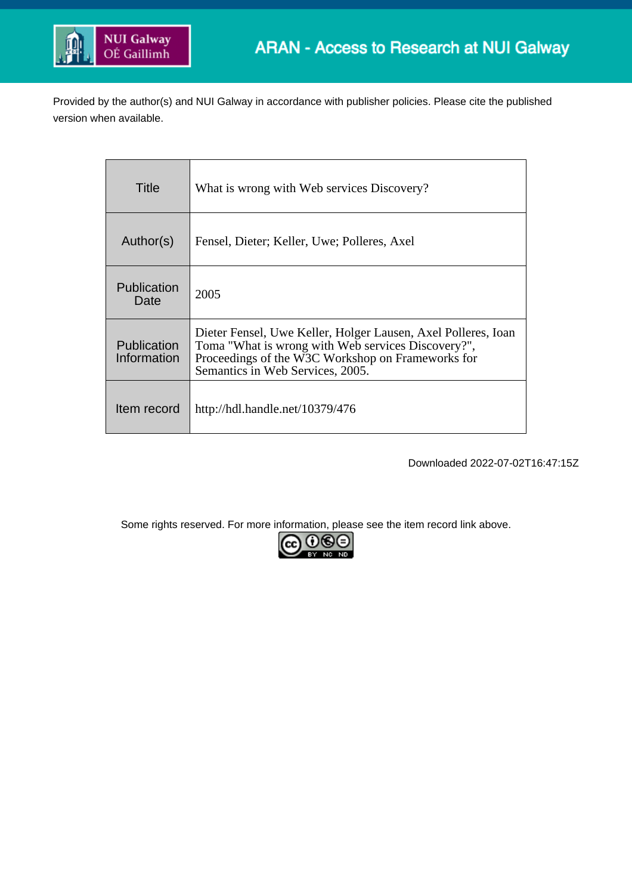

Provided by the author(s) and NUI Galway in accordance with publisher policies. Please cite the published version when available.

| Title                             | What is wrong with Web services Discovery?                                                                                                                                                                   |
|-----------------------------------|--------------------------------------------------------------------------------------------------------------------------------------------------------------------------------------------------------------|
| Author(s)                         | Fensel, Dieter; Keller, Uwe; Polleres, Axel                                                                                                                                                                  |
| Publication<br>Date               | 2005                                                                                                                                                                                                         |
| <b>Publication</b><br>Information | Dieter Fensel, Uwe Keller, Holger Lausen, Axel Polleres, Ioan<br>Toma "What is wrong with Web services Discovery?",<br>Proceedings of the W3C Workshop on Frameworks for<br>Semantics in Web Services, 2005. |
| Item record                       | http://hdl.handle.net/10379/476                                                                                                                                                                              |

Downloaded 2022-07-02T16:47:15Z

Some rights reserved. For more information, please see the item record link above.

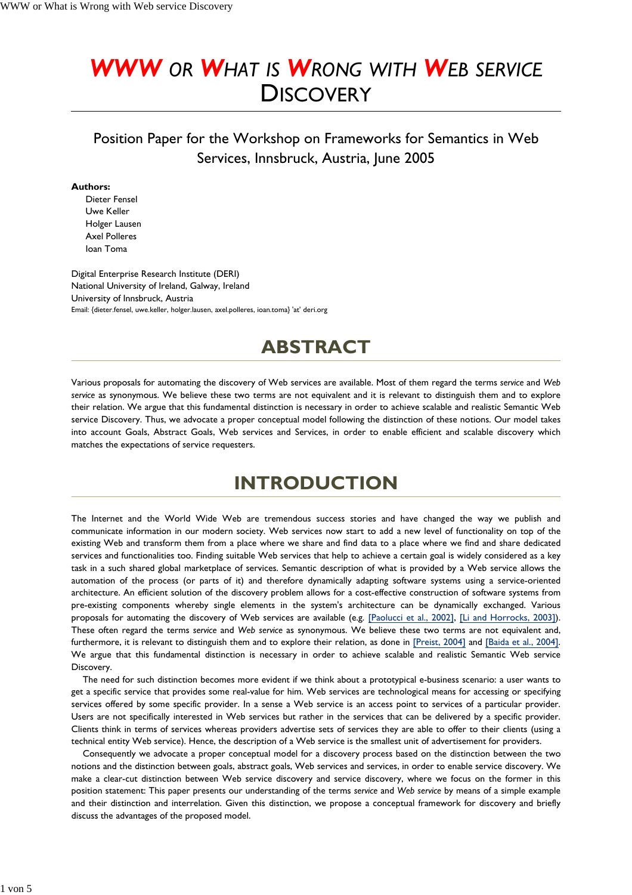# *WWW OR WHAT IS WRONG WITH WEB SERVICE* **DISCOVERY**

### Position Paper for the Workshop on Frameworks for Semantics in Web Services, Innsbruck, Austria, June 2005

#### **Authors:**

Dieter Fensel Uwe Keller Holger Lausen Axel Polleres Ioan Toma

Digital Enterprise Research Institute (DERI) National University of Ireland, Galway, Ireland University of Innsbruck, Austria Email: {dieter.fensel, uwe.keller, holger.lausen, axel.polleres, ioan.toma} 'at' deri.org

## **ABSTRACT**

Various proposals for automating the discovery of Web services are available. Most of them regard the terms *service* and *Web service* as synonymous. We believe these two terms are not equivalent and it is relevant to distinguish them and to explore their relation. We argue that this fundamental distinction is necessary in order to achieve scalable and realistic Semantic Web service Discovery. Thus, we advocate a proper conceptual model following the distinction of these notions. Our model takes into account Goals, Abstract Goals, Web services and Services, in order to enable efficient and scalable discovery which matches the expectations of service requesters.

### **INTRODUCTION**

The Internet and the World Wide Web are tremendous success stories and have changed the way we publish and communicate information in our modern society. Web services now start to add a new level of functionality on top of the existing Web and transform them from a place where we share and find data to a place where we find and share dedicated services and functionalities too. Finding suitable Web services that help to achieve a certain goal is widely considered as a key task in a such shared global marketplace of services. Semantic description of what is provided by a Web service allows the automation of the process (or parts of it) and therefore dynamically adapting software systems using a service-oriented architecture. An efficient solution of the discovery problem allows for a cost-effective construction of software systems from pre-existing components whereby single elements in the system's architecture can be dynamically exchanged. Various proposals for automating the discovery of Web services are available (e.g. [Paolucci et al., 2002], [Li and Horrocks, 2003]). These often regard the terms *service* and *Web service* as synonymous. We believe these two terms are not equivalent and, furthermore, it is relevant to distinguish them and to explore their relation, as done in [Preist, 2004] and [Baida et al., 2004]. We argue that this fundamental distinction is necessary in order to achieve scalable and realistic Semantic Web service Discovery.

The need for such distinction becomes more evident if we think about a prototypical e-business scenario: a user wants to get a specific service that provides some real-value for him. Web services are technological means for accessing or specifying services offered by some specific provider. In a sense a Web service is an access point to services of a particular provider. Users are not specifically interested in Web services but rather in the services that can be delivered by a specific provider. Clients think in terms of services whereas providers advertise sets of services they are able to offer to their clients (using a technical entity Web service). Hence, the description of a Web service is the smallest unit of advertisement for providers.

Consequently we advocate a proper conceptual model for a discovery process based on the distinction between the two notions and the distinction between goals, abstract goals, Web services and services, in order to enable service discovery. We make a clear-cut distinction between Web service discovery and service discovery, where we focus on the former in this position statement: This paper presents our understanding of the terms *service* and *Web service* by means of a simple example and their distinction and interrelation. Given this distinction, we propose a conceptual framework for discovery and briefly discuss the advantages of the proposed model.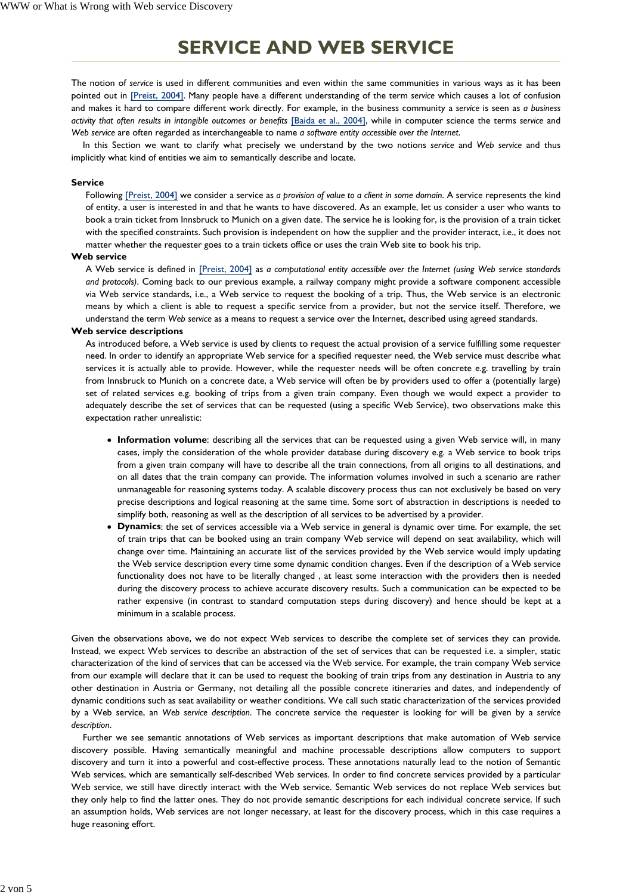### **SERVICE AND WEB SERVICE**

The notion of *service* is used in different communities and even within the same communities in various ways as it has been pointed out in [Preist, 2004]. Many people have a different understanding of the term *service* which causes a lot of confusion and makes it hard to compare different work directly. For example, in the business community a *service* is seen as *a business activity that often results in intangible outcomes or benefits* [Baida et al., 2004], while in computer science the terms *service* and *Web service* are often regarded as interchangeable to name *a software entity accessible over the Internet*.

In this Section we want to clarify what precisely we understand by the two notions *service* and *Web service* and thus implicitly what kind of entities we aim to semantically describe and locate.

#### **Service**

Following [Preist, 2004] we consider a service as *a provision of value to a client in some domain*. A service represents the kind of entity, a user is interested in and that he wants to have discovered. As an example, let us consider a user who wants to book a train ticket from Innsbruck to Munich on a given date. The service he is looking for, is the provision of a train ticket with the specified constraints. Such provision is independent on how the supplier and the provider interact, i.e., it does not matter whether the requester goes to a train tickets office or uses the train Web site to book his trip.

#### **Web service**

A Web service is defined in [Preist, 2004] as *a computational entity accessible over the Internet (using Web service standards and protocols)*. Coming back to our previous example, a railway company might provide a software component accessible via Web service standards, i.e., a Web service to request the booking of a trip. Thus, the Web service is an electronic means by which a client is able to request a specific service from a provider, but not the service itself. Therefore, we understand the term *Web service* as a means to request a service over the Internet, described using agreed standards.

#### **Web service descriptions**

As introduced before, a Web service is used by clients to request the actual provision of a service fulfilling some requester need. In order to identify an appropriate Web service for a specified requester need, the Web service must describe what services it is actually able to provide. However, while the requester needs will be often concrete e.g. travelling by train from Innsbruck to Munich on a concrete date, a Web service will often be by providers used to offer a (potentially large) set of related services e.g. booking of trips from a given train company. Even though we would expect a provider to adequately describe the set of services that can be requested (using a specific Web Service), two observations make this expectation rather unrealistic:

- **Information volume**: describing all the services that can be requested using a given Web service will, in many cases, imply the consideration of the whole provider database during discovery e.g. a Web service to book trips from a given train company will have to describe all the train connections, from all origins to all destinations, and on all dates that the train company can provide. The information volumes involved in such a scenario are rather unmanageable for reasoning systems today. A scalable discovery process thus can not exclusively be based on very precise descriptions and logical reasoning at the same time. Some sort of abstraction in descriptions is needed to simplify both, reasoning as well as the description of all services to be advertised by a provider.
- **Dynamics**: the set of services accessible via a Web service in general is dynamic over time. For example, the set of train trips that can be booked using an train company Web service will depend on seat availability, which will change over time. Maintaining an accurate list of the services provided by the Web service would imply updating the Web service description every time some dynamic condition changes. Even if the description of a Web service functionality does not have to be literally changed , at least some interaction with the providers then is needed during the discovery process to achieve accurate discovery results. Such a communication can be expected to be rather expensive (in contrast to standard computation steps during discovery) and hence should be kept at a minimum in a scalable process.

Given the observations above, we do not expect Web services to describe the complete set of services they can provide. Instead, we expect Web services to describe an abstraction of the set of services that can be requested i.e. a simpler, static characterization of the kind of services that can be accessed via the Web service. For example, the train company Web service from our example will declare that it can be used to request the booking of train trips from any destination in Austria to any other destination in Austria or Germany, not detailing all the possible concrete itineraries and dates, and independently of dynamic conditions such as seat availability or weather conditions. We call such static characterization of the services provided by a Web service, an *Web service description*. The concrete service the requester is looking for will be given by a *service description*.

Further we see semantic annotations of Web services as important descriptions that make automation of Web service discovery possible. Having semantically meaningful and machine processable descriptions allow computers to support discovery and turn it into a powerful and cost-effective process. These annotations naturally lead to the notion of Semantic Web services, which are semantically self-described Web services. In order to find concrete services provided by a particular Web service, we still have directly interact with the Web service. Semantic Web services do not replace Web services but they only help to find the latter ones. They do not provide semantic descriptions for each individual concrete service. If such an assumption holds, Web services are not longer necessary, at least for the discovery process, which in this case requires a huge reasoning effort.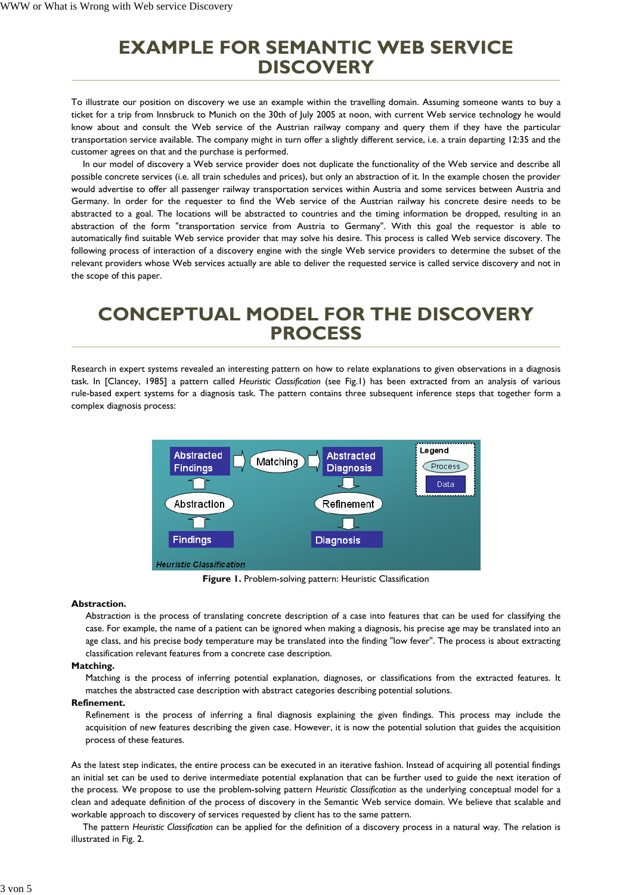### **EXAMPLE FOR SEMANTIC WEB SERVICE DISCOVERY**

To illustrate our position on discovery we use an example within the travelling domain. Assuming someone wants to buy a ticket for a trip from Innsbruck to Munich on the 30th of July 2005 at noon, with current Web service technology he would know about and consult the Web service of the Austrian railway company and query them if they have the particular transportation service available. The company might in turn offer a slightly different service, i.e. a train departing 12:35 and the customer agrees on that and the purchase is performed.

In our model of discovery a Web service provider does not duplicate the functionality of the Web service and describe all possible concrete services (i.e. all train schedules and prices), but only an abstraction of it. In the example chosen the provider would advertise to offer all passenger railway transportation services within Austria and some services between Austria and Germany. In order for the requester to find the Web service of the Austrian railway his concrete desire needs to be abstracted to a goal. The locations will be abstracted to countries and the timing information be dropped, resulting in an abstraction of the form "transportation service from Austria to Germany". With this goal the requestor is able to automatically find suitable Web service provider that may solve his desire. This process is called Web service discovery. The following process of interaction of a discovery engine with the single Web service providers to determine the subset of the relevant providers whose Web services actually are able to deliver the requested service is called service discovery and not in the scope of this paper.

### **CONCEPTUAL MODEL FOR THE DISCOVERY PROCESS**

Research in expert systems revealed an interesting pattern on how to relate explanations to given observations in a diagnosis task. In [Clancey, 1985] a pattern called *Heuristic Classification* (see Fig.1) has been extracted from an analysis of various rule-based expert systems for a diagnosis task. The pattern contains three subsequent inference steps that together form a complex diagnosis process:



**Figure 1.** Problem-solving pattern: Heuristic Classification

### **Abstraction.**

Abstraction is the process of translating concrete description of a case into features that can be used for classifying the case. For example, the name of a patient can be ignored when making a diagnosis, his precise age may be translated into an age class, and his precise body temperature may be translated into the finding "low fever". The process is about extracting classification relevant features from a concrete case description.

### **Matching.**

Matching is the process of inferring potential explanation, diagnoses, or classifications from the extracted features. It matches the abstracted case description with abstract categories describing potential solutions.

#### **Refinement.**

Refinement is the process of inferring a final diagnosis explaining the given findings. This process may include the acquisition of new features describing the given case. However, it is now the potential solution that guides the acquisition process of these features.

As the latest step indicates, the entire process can be executed in an iterative fashion. Instead of acquiring all potential findings an initial set can be used to derive intermediate potential explanation that can be further used to guide the next iteration of the process. We propose to use the problem-solving pattern *Heuristic Classification* as the underlying conceptual model for a clean and adequate definition of the process of discovery in the Semantic Web service domain. We believe that scalable and workable approach to discovery of services requested by client has to the same pattern.

The pattern *Heuristic Classification* can be applied for the definition of a discovery process in a natural way. The relation is illustrated in Fig. 2.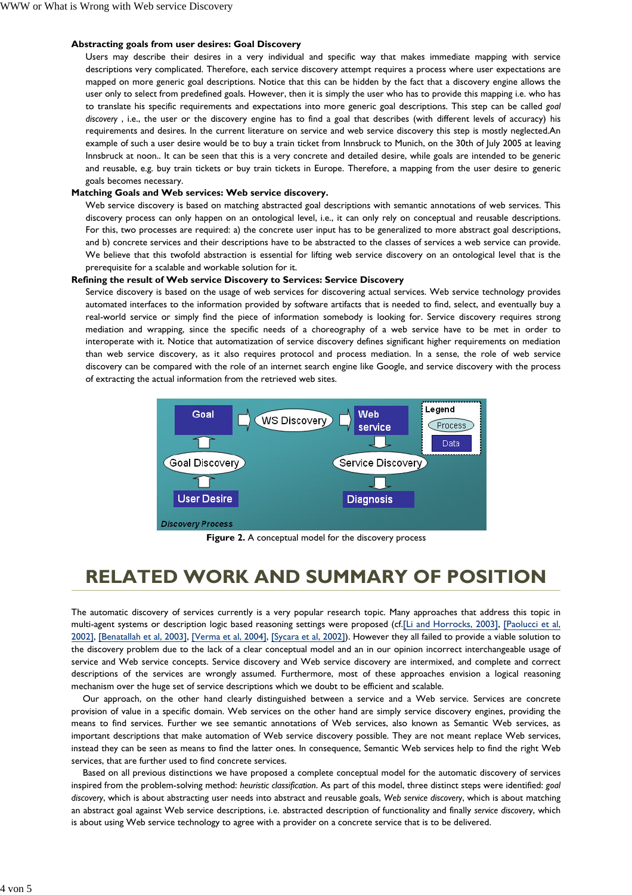#### **Abstracting goals from user desires: Goal Discovery**

Users may describe their desires in a very individual and specific way that makes immediate mapping with service descriptions very complicated. Therefore, each service discovery attempt requires a process where user expectations are mapped on more generic goal descriptions. Notice that this can be hidden by the fact that a discovery engine allows the user only to select from predefined goals. However, then it is simply the user who has to provide this mapping i.e. who has to translate his specific requirements and expectations into more generic goal descriptions. This step can be called *goal discovery* , i.e., the user or the discovery engine has to find a goal that describes (with different levels of accuracy) his requirements and desires. In the current literature on service and web service discovery this step is mostly neglected.An example of such a user desire would be to buy a train ticket from Innsbruck to Munich, on the 30th of July 2005 at leaving Innsbruck at noon.. It can be seen that this is a very concrete and detailed desire, while goals are intended to be generic and reusable, e.g. buy train tickets or buy train tickets in Europe. Therefore, a mapping from the user desire to generic goals becomes necessary.

#### **Matching Goals and Web services: Web service discovery.**

Web service discovery is based on matching abstracted goal descriptions with semantic annotations of web services. This discovery process can only happen on an ontological level, i.e., it can only rely on conceptual and reusable descriptions. For this, two processes are required: a) the concrete user input has to be generalized to more abstract goal descriptions, and b) concrete services and their descriptions have to be abstracted to the classes of services a web service can provide. We believe that this twofold abstraction is essential for lifting web service discovery on an ontological level that is the prerequisite for a scalable and workable solution for it.

#### **Refining the result of Web service Discovery to Services: Service Discovery**

Service discovery is based on the usage of web services for discovering actual services. Web service technology provides automated interfaces to the information provided by software artifacts that is needed to find, select, and eventually buy a real-world service or simply find the piece of information somebody is looking for. Service discovery requires strong mediation and wrapping, since the specific needs of a choreography of a web service have to be met in order to interoperate with it. Notice that automatization of service discovery defines significant higher requirements on mediation than web service discovery, as it also requires protocol and process mediation. In a sense, the role of web service discovery can be compared with the role of an internet search engine like Google, and service discovery with the process of extracting the actual information from the retrieved web sites.



**Figure 2.** A conceptual model for the discovery process

### **RELATED WORK AND SUMMARY OF POSITION**

The automatic discovery of services currently is a very popular research topic. Many approaches that address this topic in multi-agent systems or description logic based reasoning settings were proposed (cf.[Li and Horrocks, 2003], [Paolucci et al, 2002], [Benatallah et al, 2003], [Verma et al, 2004], [Sycara et al, 2002]). However they all failed to provide a viable solution to the discovery problem due to the lack of a clear conceptual model and an in our opinion incorrect interchangeable usage of service and Web service concepts. Service discovery and Web service discovery are intermixed, and complete and correct descriptions of the services are wrongly assumed. Furthermore, most of these approaches envision a logical reasoning mechanism over the huge set of service descriptions which we doubt to be efficient and scalable.

Our approach, on the other hand clearly distinguished between a service and a Web service. Services are concrete provision of value in a specific domain. Web services on the other hand are simply service discovery engines, providing the means to find services. Further we see semantic annotations of Web services, also known as Semantic Web services, as important descriptions that make automation of Web service discovery possible. They are not meant replace Web services, instead they can be seen as means to find the latter ones. In consequence, Semantic Web services help to find the right Web services, that are further used to find concrete services.

Based on all previous distinctions we have proposed a complete conceptual model for the automatic discovery of services inspired from the problem-solving method: *heuristic classification*. As part of this model, three distinct steps were identified: *goal discovery*, which is about abstracting user needs into abstract and reusable goals, *Web service discovery*, which is about matching an abstract goal against Web service descriptions, i.e. abstracted description of functionality and finally *service discovery*, which is about using Web service technology to agree with a provider on a concrete service that is to be delivered.